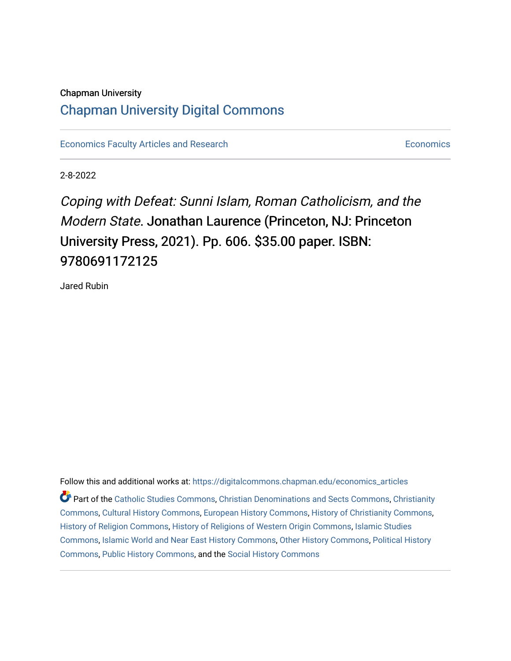### Chapman University

# [Chapman University Digital Commons](https://digitalcommons.chapman.edu/)

[Economics Faculty Articles and Research](https://digitalcommons.chapman.edu/economics_articles) **Economics** Economics

2-8-2022

Coping with Defeat: Sunni Islam, Roman Catholicism, and the Modern State. Jonathan Laurence (Princeton, NJ: Princeton University Press, 2021). Pp. 606. \$35.00 paper. ISBN: 9780691172125

Jared Rubin

Follow this and additional works at: [https://digitalcommons.chapman.edu/economics\\_articles](https://digitalcommons.chapman.edu/economics_articles?utm_source=digitalcommons.chapman.edu%2Feconomics_articles%2F265&utm_medium=PDF&utm_campaign=PDFCoverPages)

Part of the [Catholic Studies Commons](http://network.bepress.com/hgg/discipline/1294?utm_source=digitalcommons.chapman.edu%2Feconomics_articles%2F265&utm_medium=PDF&utm_campaign=PDFCoverPages), [Christian Denominations and Sects Commons,](http://network.bepress.com/hgg/discipline/1184?utm_source=digitalcommons.chapman.edu%2Feconomics_articles%2F265&utm_medium=PDF&utm_campaign=PDFCoverPages) [Christianity](http://network.bepress.com/hgg/discipline/1181?utm_source=digitalcommons.chapman.edu%2Feconomics_articles%2F265&utm_medium=PDF&utm_campaign=PDFCoverPages) [Commons](http://network.bepress.com/hgg/discipline/1181?utm_source=digitalcommons.chapman.edu%2Feconomics_articles%2F265&utm_medium=PDF&utm_campaign=PDFCoverPages), [Cultural History Commons,](http://network.bepress.com/hgg/discipline/496?utm_source=digitalcommons.chapman.edu%2Feconomics_articles%2F265&utm_medium=PDF&utm_campaign=PDFCoverPages) [European History Commons,](http://network.bepress.com/hgg/discipline/492?utm_source=digitalcommons.chapman.edu%2Feconomics_articles%2F265&utm_medium=PDF&utm_campaign=PDFCoverPages) [History of Christianity Commons,](http://network.bepress.com/hgg/discipline/1182?utm_source=digitalcommons.chapman.edu%2Feconomics_articles%2F265&utm_medium=PDF&utm_campaign=PDFCoverPages) [History of Religion Commons](http://network.bepress.com/hgg/discipline/499?utm_source=digitalcommons.chapman.edu%2Feconomics_articles%2F265&utm_medium=PDF&utm_campaign=PDFCoverPages), [History of Religions of Western Origin Commons](http://network.bepress.com/hgg/discipline/542?utm_source=digitalcommons.chapman.edu%2Feconomics_articles%2F265&utm_medium=PDF&utm_campaign=PDFCoverPages), [Islamic Studies](http://network.bepress.com/hgg/discipline/1346?utm_source=digitalcommons.chapman.edu%2Feconomics_articles%2F265&utm_medium=PDF&utm_campaign=PDFCoverPages)  [Commons](http://network.bepress.com/hgg/discipline/1346?utm_source=digitalcommons.chapman.edu%2Feconomics_articles%2F265&utm_medium=PDF&utm_campaign=PDFCoverPages), [Islamic World and Near East History Commons,](http://network.bepress.com/hgg/discipline/493?utm_source=digitalcommons.chapman.edu%2Feconomics_articles%2F265&utm_medium=PDF&utm_campaign=PDFCoverPages) [Other History Commons](http://network.bepress.com/hgg/discipline/508?utm_source=digitalcommons.chapman.edu%2Feconomics_articles%2F265&utm_medium=PDF&utm_campaign=PDFCoverPages), [Political History](http://network.bepress.com/hgg/discipline/505?utm_source=digitalcommons.chapman.edu%2Feconomics_articles%2F265&utm_medium=PDF&utm_campaign=PDFCoverPages)  [Commons](http://network.bepress.com/hgg/discipline/505?utm_source=digitalcommons.chapman.edu%2Feconomics_articles%2F265&utm_medium=PDF&utm_campaign=PDFCoverPages), [Public History Commons,](http://network.bepress.com/hgg/discipline/1292?utm_source=digitalcommons.chapman.edu%2Feconomics_articles%2F265&utm_medium=PDF&utm_campaign=PDFCoverPages) and the [Social History Commons](http://network.bepress.com/hgg/discipline/506?utm_source=digitalcommons.chapman.edu%2Feconomics_articles%2F265&utm_medium=PDF&utm_campaign=PDFCoverPages)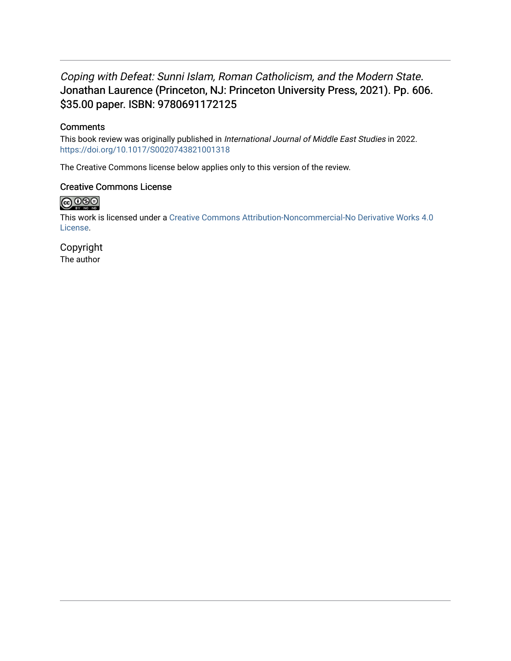## Coping with Defeat: Sunni Islam, Roman Catholicism, and the Modern State. Jonathan Laurence (Princeton, NJ: Princeton University Press, 2021). Pp. 606. \$35.00 paper. ISBN: 9780691172125

### **Comments**

This book review was originally published in International Journal of Middle East Studies in 2022. <https://doi.org/10.1017/S0020743821001318>

The Creative Commons license below applies only to this version of the review.

#### Creative Commons License



This work is licensed under a [Creative Commons Attribution-Noncommercial-No Derivative Works 4.0](https://creativecommons.org/licenses/by-nc-nd/4.0/) [License](https://creativecommons.org/licenses/by-nc-nd/4.0/).

Copyright The author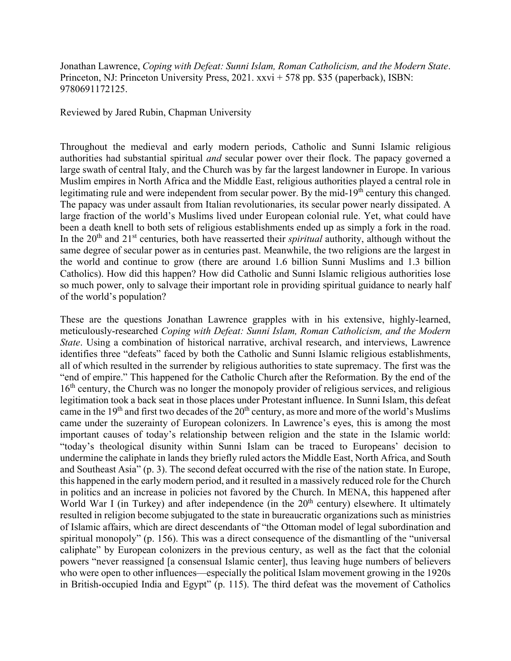Jonathan Lawrence, *Coping with Defeat: Sunni Islam, Roman Catholicism, and the Modern State*. Princeton, NJ: Princeton University Press, 2021. xxvi + 578 pp. \$35 (paperback), ISBN: 9780691172125.

Reviewed by Jared Rubin, Chapman University

Throughout the medieval and early modern periods, Catholic and Sunni Islamic religious authorities had substantial spiritual *and* secular power over their flock. The papacy governed a large swath of central Italy, and the Church was by far the largest landowner in Europe. In various Muslim empires in North Africa and the Middle East, religious authorities played a central role in legitimating rule and were independent from secular power. By the mid-19<sup>th</sup> century this changed. The papacy was under assault from Italian revolutionaries, its secular power nearly dissipated. A large fraction of the world's Muslims lived under European colonial rule. Yet, what could have been a death knell to both sets of religious establishments ended up as simply a fork in the road. In the 20<sup>th</sup> and 21<sup>st</sup> centuries, both have reasserted their *spiritual* authority, although without the same degree of secular power as in centuries past. Meanwhile, the two religions are the largest in the world and continue to grow (there are around 1.6 billion Sunni Muslims and 1.3 billion Catholics). How did this happen? How did Catholic and Sunni Islamic religious authorities lose so much power, only to salvage their important role in providing spiritual guidance to nearly half of the world's population?

These are the questions Jonathan Lawrence grapples with in his extensive, highly-learned, meticulously-researched *Coping with Defeat: Sunni Islam, Roman Catholicism, and the Modern State*. Using a combination of historical narrative, archival research, and interviews, Lawrence identifies three "defeats" faced by both the Catholic and Sunni Islamic religious establishments, all of which resulted in the surrender by religious authorities to state supremacy. The first was the "end of empire." This happened for the Catholic Church after the Reformation. By the end of the 16<sup>th</sup> century, the Church was no longer the monopoly provider of religious services, and religious legitimation took a back seat in those places under Protestant influence. In Sunni Islam, this defeat came in the 19<sup>th</sup> and first two decades of the  $20<sup>th</sup>$  century, as more and more of the world's Muslims came under the suzerainty of European colonizers. In Lawrence's eyes, this is among the most important causes of today's relationship between religion and the state in the Islamic world: "today's theological disunity within Sunni Islam can be traced to Europeans' decision to undermine the caliphate in lands they briefly ruled actors the Middle East, North Africa, and South and Southeast Asia" (p. 3). The second defeat occurred with the rise of the nation state. In Europe, this happened in the early modern period, and it resulted in a massively reduced role for the Church in politics and an increase in policies not favored by the Church. In MENA, this happened after World War I (in Turkey) and after independence (in the 20<sup>th</sup> century) elsewhere. It ultimately resulted in religion become subjugated to the state in bureaucratic organizations such as ministries of Islamic affairs, which are direct descendants of "the Ottoman model of legal subordination and spiritual monopoly" (p. 156). This was a direct consequence of the dismantling of the "universal caliphate" by European colonizers in the previous century, as well as the fact that the colonial powers "never reassigned [a consensual Islamic center], thus leaving huge numbers of believers who were open to other influences—especially the political Islam movement growing in the 1920s in British-occupied India and Egypt" (p. 115). The third defeat was the movement of Catholics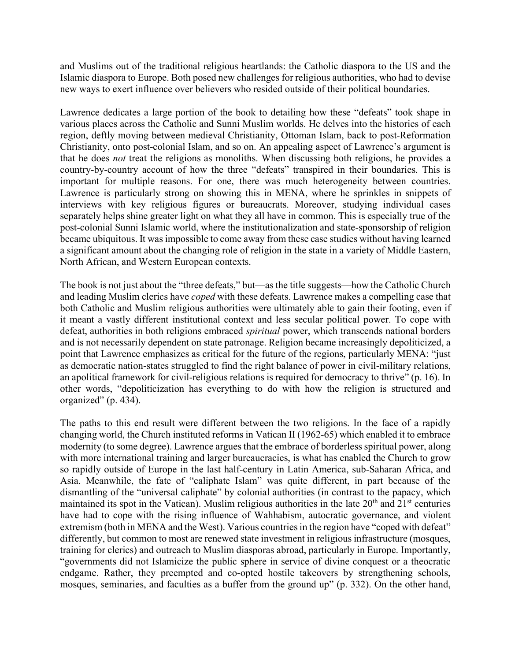and Muslims out of the traditional religious heartlands: the Catholic diaspora to the US and the Islamic diaspora to Europe. Both posed new challenges for religious authorities, who had to devise new ways to exert influence over believers who resided outside of their political boundaries.

Lawrence dedicates a large portion of the book to detailing how these "defeats" took shape in various places across the Catholic and Sunni Muslim worlds. He delves into the histories of each region, deftly moving between medieval Christianity, Ottoman Islam, back to post-Reformation Christianity, onto post-colonial Islam, and so on. An appealing aspect of Lawrence's argument is that he does *not* treat the religions as monoliths. When discussing both religions, he provides a country-by-country account of how the three "defeats" transpired in their boundaries. This is important for multiple reasons. For one, there was much heterogeneity between countries. Lawrence is particularly strong on showing this in MENA, where he sprinkles in snippets of interviews with key religious figures or bureaucrats. Moreover, studying individual cases separately helps shine greater light on what they all have in common. This is especially true of the post-colonial Sunni Islamic world, where the institutionalization and state-sponsorship of religion became ubiquitous. It was impossible to come away from these case studies without having learned a significant amount about the changing role of religion in the state in a variety of Middle Eastern, North African, and Western European contexts.

The book is not just about the "three defeats," but—as the title suggests—how the Catholic Church and leading Muslim clerics have *coped* with these defeats. Lawrence makes a compelling case that both Catholic and Muslim religious authorities were ultimately able to gain their footing, even if it meant a vastly different institutional context and less secular political power. To cope with defeat, authorities in both religions embraced *spiritual* power, which transcends national borders and is not necessarily dependent on state patronage. Religion became increasingly depoliticized, a point that Lawrence emphasizes as critical for the future of the regions, particularly MENA: "just as democratic nation-states struggled to find the right balance of power in civil-military relations, an apolitical framework for civil-religious relations is required for democracy to thrive" (p. 16). In other words, "depoliticization has everything to do with how the religion is structured and organized" (p. 434).

The paths to this end result were different between the two religions. In the face of a rapidly changing world, the Church instituted reforms in Vatican II (1962-65) which enabled it to embrace modernity (to some degree). Lawrence argues that the embrace of borderless spiritual power, along with more international training and larger bureaucracies, is what has enabled the Church to grow so rapidly outside of Europe in the last half-century in Latin America, sub-Saharan Africa, and Asia. Meanwhile, the fate of "caliphate Islam" was quite different, in part because of the dismantling of the "universal caliphate" by colonial authorities (in contrast to the papacy, which maintained its spot in the Vatican). Muslim religious authorities in the late  $20<sup>th</sup>$  and  $21<sup>st</sup>$  centuries have had to cope with the rising influence of Wahhabism, autocratic governance, and violent extremism (both in MENA and the West). Various countries in the region have "coped with defeat" differently, but common to most are renewed state investment in religious infrastructure (mosques, training for clerics) and outreach to Muslim diasporas abroad, particularly in Europe. Importantly, "governments did not Islamicize the public sphere in service of divine conquest or a theocratic endgame. Rather, they preempted and co-opted hostile takeovers by strengthening schools, mosques, seminaries, and faculties as a buffer from the ground up" (p. 332). On the other hand,